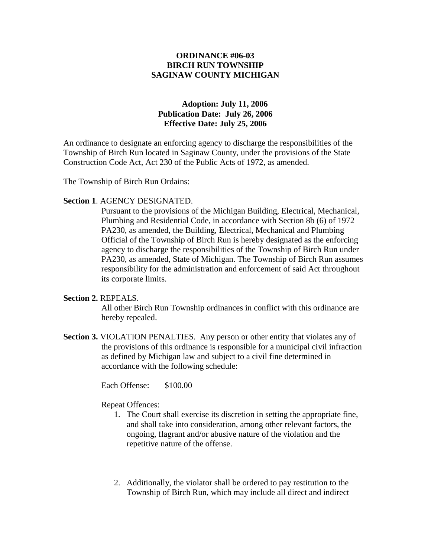# **ORDINANCE #06-03 BIRCH RUN TOWNSHIP SAGINAW COUNTY MICHIGAN**

# **Adoption: July 11, 2006 Publication Date: July 26, 2006 Effective Date: July 25, 2006**

An ordinance to designate an enforcing agency to discharge the responsibilities of the Township of Birch Run located in Saginaw County, under the provisions of the State Construction Code Act, Act 230 of the Public Acts of 1972, as amended.

The Township of Birch Run Ordains:

### **Section 1**. AGENCY DESIGNATED.

Pursuant to the provisions of the Michigan Building, Electrical, Mechanical, Plumbing and Residential Code, in accordance with Section 8b (6) of 1972 PA230, as amended, the Building, Electrical, Mechanical and Plumbing Official of the Township of Birch Run is hereby designated as the enforcing agency to discharge the responsibilities of the Township of Birch Run under PA230, as amended, State of Michigan. The Township of Birch Run assumes responsibility for the administration and enforcement of said Act throughout its corporate limits.

## **Section 2.** REPEALS.

All other Birch Run Township ordinances in conflict with this ordinance are hereby repealed.

**Section 3. VIOLATION PENALTIES.** Any person or other entity that violates any of the provisions of this ordinance is responsible for a municipal civil infraction as defined by Michigan law and subject to a civil fine determined in accordance with the following schedule:

Each Offense: \$100.00

#### Repeat Offences:

- 1. The Court shall exercise its discretion in setting the appropriate fine, and shall take into consideration, among other relevant factors, the ongoing, flagrant and/or abusive nature of the violation and the repetitive nature of the offense.
- 2. Additionally, the violator shall be ordered to pay restitution to the Township of Birch Run, which may include all direct and indirect